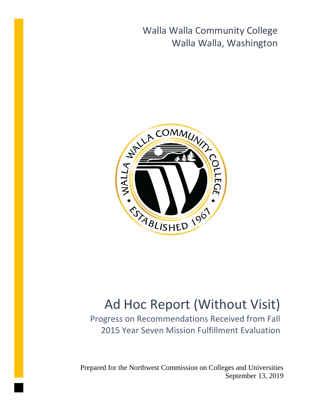Walla Walla Community College Walla Walla, Washington



# Ad Hoc Report (Without Visit)

Progress on Recommendations Received from Fall 2015 Year Seven Mission Fulfillment Evaluation

Prepared for the Northwest Commission on Colleges and Universities September 13, 2019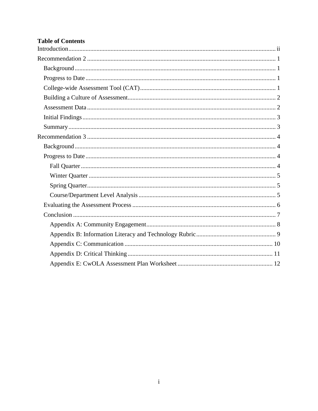# **Table of Contents**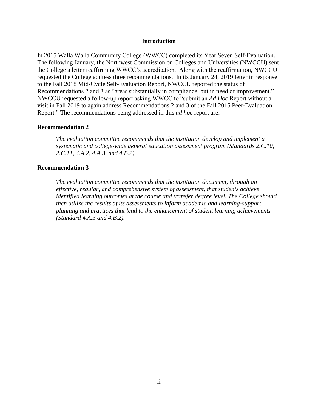#### **Introduction**

<span id="page-2-0"></span>In 2015 Walla Walla Community College (WWCC) completed its Year Seven Self-Evaluation. The following January, the Northwest Commission on Colleges and Universities (NWCCU) sent the College a letter reaffirming WWCC's accreditation. Along with the reaffirmation, NWCCU requested the College address three recommendations. In its January 24, 2019 letter in response to the Fall 2018 Mid-Cycle Self-Evaluation Report, NWCCU reported the status of Recommendations 2 and 3 as "areas substantially in compliance, but in need of improvement." NWCCU requested a follow-up report asking WWCC to "submit an *Ad Hoc* Report without a visit in Fall 2019 to again address Recommendations 2 and 3 of the Fall 2015 Peer-Evaluation Report." The recommendations being addressed in this *ad hoc* report are:

## **Recommendation 2**

*The evaluation committee recommends that the institution develop and implement a systematic and college-wide general education assessment program (Standards 2.C.10, 2.C.11, 4.A.2, 4.A.3, and 4.B.2).*

#### **Recommendation 3**

*The evaluation committee recommends that the institution document, through an effective, regular, and comprehensive system of assessment, that students achieve identified learning outcomes at the course and transfer degree level. The College should then utilize the results of its assessments to inform academic and learning-support planning and practices that lead to the enhancement of student learning achievements (Standard 4.A.3 and 4.B.2).*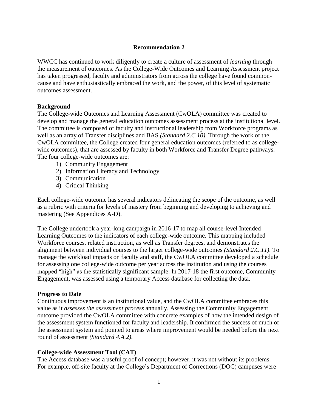# **Recommendation 2**

<span id="page-3-0"></span>WWCC has continued to work diligently to create a culture of assessment of *learning* through the measurement of outcomes. As the College-Wide Outcomes and Learning Assessment project has taken progressed, faculty and administrators from across the college have found commoncause and have enthusiastically embraced the work, and the power, of this level of systematic outcomes assessment.

## <span id="page-3-1"></span>**Background**

The College-wide Outcomes and Learning Assessment (CwOLA) committee was created to develop and manage the general education outcomes assessment process at the institutional level. The committee is composed of faculty and instructional leadership from Workforce programs as well as an array of Transfer disciplines and BAS *(Standard 2.C.10)*. Through the work of the CwOLA committee, the College created four general education outcomes (referred to as collegewide outcomes), that are assessed by faculty in both Workforce and Transfer Degree pathways. The four college-wide outcomes are:

- 1) Community Engagement
- 2) Information Literacy and Technology
- 3) Communication
- 4) Critical Thinking

Each college-wide outcome has several indicators delineating the scope of the outcome, as well as a rubric with criteria for levels of mastery from beginning and developing to achieving and mastering (See Appendices A-D).

The College undertook a year-long campaign in 2016-17 to map all course-level Intended Learning Outcomes to the indicators of each college-wide outcome. This mapping included Workforce courses, related instruction, as well as Transfer degrees, and demonstrates the alignment between individual courses to the larger college-wide outcomes *(Standard 2.C.11)*. To manage the workload impacts on faculty and staff, the CwOLA committee developed a schedule for assessing one college-wide outcome per year across the institution and using the courses mapped "high" as the statistically significant sample. In 2017-18 the first outcome, Community Engagement, was assessed using a temporary Access database for collecting the data.

## <span id="page-3-2"></span>**Progress to Date**

Continuous improvement is an institutional value, and the CwOLA committee embraces this value as it *assesses the assessment process* annually. Assessing the Community Engagement outcome provided the CwOLA committee with concrete examples of how the intended design of the assessment system functioned for faculty and leadership. It confirmed the success of much of the assessment system and pointed to areas where improvement would be needed before the next round of assessment *(Standard 4.A.2)*.

# <span id="page-3-3"></span>**College-wide Assessment Tool (CAT)**

The Access database was a useful proof of concept; however, it was not without its problems. For example, off-site faculty at the College's Department of Corrections (DOC) campuses were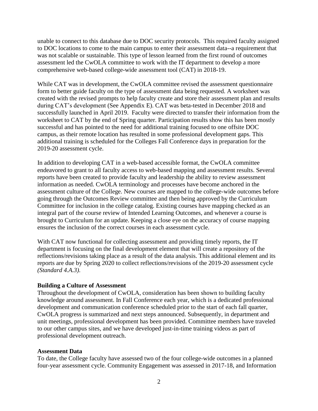unable to connect to this database due to DOC security protocols. This required faculty assigned to DOC locations to come to the main campus to enter their assessment data--a requirement that was not scalable or sustainable. This type of lesson learned from the first round of outcomes assessment led the CwOLA committee to work with the IT department to develop a more comprehensive web-based college-wide assessment tool (CAT) in 2018-19.

While CAT was in development, the CwOLA committee revised the assessment questionnaire form to better guide faculty on the type of assessment data being requested. A worksheet was created with the revised prompts to help faculty create and store their assessment plan and results during CAT's development (See Appendix E). CAT was beta-tested in December 2018 and successfully launched in April 2019. Faculty were directed to transfer their information from the worksheet to CAT by the end of Spring quarter. Participation results show this has been mostly successful and has pointed to the need for additional training focused to one offsite DOC campus, as their remote location has resulted in some professional development gaps. This additional training is scheduled for the Colleges Fall Conference days in preparation for the 2019-20 assessment cycle.

In addition to developing CAT in a web-based accessible format, the CwOLA committee endeavored to grant to all faculty access to web-based mapping and assessment results. Several reports have been created to provide faculty and leadership the ability to review assessment information as needed. CwOLA terminology and processes have become anchored in the assessment culture of the College. New courses are mapped to the college-wide outcomes before going through the Outcomes Review committee and then being approved by the Curriculum Committee for inclusion in the college catalog. Existing courses have mapping checked as an integral part of the course review of Intended Learning Outcomes, and whenever a course is brought to Curriculum for an update. Keeping a close eye on the accuracy of course mapping ensures the inclusion of the correct courses in each assessment cycle.

With CAT now functional for collecting assessment and providing timely reports, the IT department is focusing on the final development element that will create a repository of the reflections/revisions taking place as a result of the data analysis. This additional element and its reports are due by Spring 2020 to collect reflections/revisions of the 2019-20 assessment cycle *(Standard 4.A.3)*.

#### <span id="page-4-0"></span>**Building a Culture of Assessment**

Throughout the development of CwOLA, consideration has been shown to building faculty knowledge around assessment. In Fall Conference each year, which is a dedicated professional development and communication conference scheduled prior to the start of each fall quarter, CwOLA progress is summarized and next steps announced. Subsequently, in department and unit meetings, professional development has been provided. Committee members have traveled to our other campus sites, and we have developed just-in-time training videos as part of professional development outreach.

#### <span id="page-4-1"></span>**Assessment Data**

To date, the College faculty have assessed two of the four college-wide outcomes in a planned four-year assessment cycle. Community Engagement was assessed in 2017-18, and Information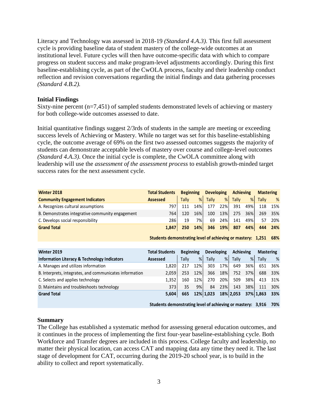Literacy and Technology was assessed in 2018-19 *(Standard 4.A.3)*. This first full assessment cycle is providing baseline data of student mastery of the college-wide outcomes at an institutional level. Future cycles will then have outcome-specific data with which to compare progress on student success and make program-level adjustments accordingly. During this first baseline-establishing cycle, as part of the CwOLA process, faculty and their leadership conduct reflection and revision conversations regarding the initial findings and data gathering processes *(Standard 4.B.2).*

## <span id="page-5-0"></span>**Initial Findings**

Sixty-nine percent (n=7,451) of sampled students demonstrated levels of achieving or mastery for both college-wide outcomes assessed to date.

Initial quantitative findings suggest 2/3rds of students in the sample are meeting or exceeding success levels of Achieving or Mastery. While no target was set for this baseline-establishing cycle, the outcome average of 69% on the first two assessed outcomes suggests the majority of students can demonstrate acceptable levels of mastery over course and college-level outcomes *(Standard 4.A.3)*. Once the initial cycle is complete, the CwOLA committee along with leadership will use the *assessment of the assessment process* to establish growth-minded target success rates for the next assessment cycle.

| <b>Winter 2018</b>                               | <b>Total Students</b> | <b>Beginning</b> |           | <b>Developing</b> |     | <b>Achieving</b> |     | <b>Mastering</b> |         |
|--------------------------------------------------|-----------------------|------------------|-----------|-------------------|-----|------------------|-----|------------------|---------|
| <b>Community Engagement Indicators</b>           | <b>Assessed</b>       | <b>Tally</b>     | %         | <b>Tally</b>      | %   | <b>Tally</b>     | %   | <b>Tally</b>     | %       |
| A. Recognizes cultural assumptions               | 797                   | 111              | 14%       | 177               | 22% | 391              | 49% |                  | 118 15% |
| B. Demonstrates integrative community engagement | 764                   | 120              | 16%       | 100               | 13% | 275              | 36% |                  | 269 35% |
| C. Develops social responsibility                | 2861                  | 19               | <b>7%</b> | 69                | 24% | 141              | 49% | 57               | 20%     |
| <b>Grand Total</b>                               | 1.847                 | 250              | 14%       | 346               | 19% | 807              | 44% | 444              | 24%     |

**1,251 68% Students demonstrating level of achieving or mastery:** 

| Winter 2019                                             | <b>Total Students</b> | <b>Beginning</b> |     | <b>Developing</b> |     | Achieving    |     | <b>Mastering</b> |         |
|---------------------------------------------------------|-----------------------|------------------|-----|-------------------|-----|--------------|-----|------------------|---------|
| <b>Information Literacy &amp; Technology Indicators</b> | Assessed              | Tally            | %   | Tally             | %   | <b>Tally</b> | %   | Tally            | %       |
| A. Manages and utilizes information                     | 1.820                 | 217              | 12% | 303               | 17% | 649          | 36% | 651              | 36%     |
| B. Interprets, integrates, and communicates information | 2.059                 | 253              | 12% | 366               | 18% | 752          | 37% |                  | 688 33% |
| C. Selects and applies technology                       | 1.352                 | 160              | 12% | 270               | 20% | 509          | 38% |                  | 413 31% |
| D. Maintains and troubleshoots technology               | 3731                  | 35               | 9%  | 84                | 23% | 143          | 38% | 111              | 30%     |
| <b>Grand Total</b>                                      | 5,604                 | 665              |     | 12% 1,023         |     | 18% 2,053    |     | 37% 1,863        | 33%     |

**3,916 70% Students demonstrating level of achieving or mastery:** 

## <span id="page-5-1"></span>**Summary**

The College has established a systematic method for assessing general education outcomes, and it continues in the process of implementing the first four-year baseline-establishing cycle. Both Workforce and Transfer degrees are included in this process. College faculty and leadership, no matter their physical location, can access CAT and mapping data any time they need it. The last stage of development for CAT, occurring during the 2019-20 school year, is to build in the ability to collect and report systematically.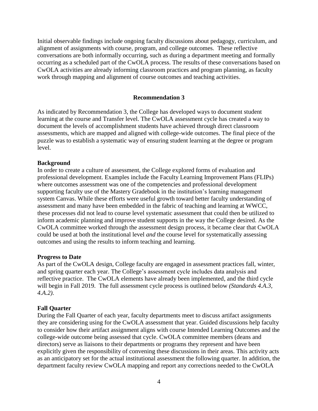Initial observable findings include ongoing faculty discussions about pedagogy, curriculum, and alignment of assignments with course, program, and college outcomes. These reflective conversations are both informally occurring, such as during a department meeting and formally occurring as a scheduled part of the CwOLA process. The results of these conversations based on CwOLA activities are already informing classroom practices and program planning, as faculty work through mapping and alignment of course outcomes and teaching activities.

#### **Recommendation 3**

<span id="page-6-0"></span>As indicated by Recommendation 3, the College has developed ways to document student learning at the course and Transfer level. The CwOLA assessment cycle has created a way to document the levels of accomplishment students have achieved through direct classroom assessments, which are mapped and aligned with college-wide outcomes. The final piece of the puzzle was to establish a systematic way of ensuring student learning at the degree or program level.

#### <span id="page-6-1"></span>**Background**

In order to create a culture of assessment, the College explored forms of evaluation and professional development. Examples include the Faculty Learning Improvement Plans (FLIPs) where outcomes assessment was one of the competencies and professional development supporting faculty use of the Mastery Gradebook in the institution's learning management system Canvas. While these efforts were useful growth toward better faculty understanding of assessment and many have been embedded in the fabric of teaching and learning at WWCC, these processes did not lead to course level systematic assessment that could then be utilized to inform academic planning and improve student supports in the way the College desired. As the CwOLA committee worked through the assessment design process, it became clear that CwOLA could be used at both the institutional level *and* the course level for systematically assessing outcomes and using the results to inform teaching and learning.

#### <span id="page-6-2"></span>**Progress to Date**

As part of the CwOLA design, College faculty are engaged in assessment practices fall, winter, and spring quarter each year. The College's assessment cycle includes data analysis and reflective practice. The CwOLA elements have already been implemented, and the third cycle will begin in Fall 2019. The full assessment cycle process is outlined below *(Standards 4.A.3, 4.A.2)*.

#### <span id="page-6-3"></span>**Fall Quarter**

During the Fall Quarter of each year, faculty departments meet to discuss artifact assignments they are considering using for the CwOLA assessment that year. Guided discussions help faculty to consider how their artifact assignment aligns with course Intended Learning Outcomes and the college-wide outcome being assessed that cycle. CwOLA committee members (deans and directors) serve as liaisons to their departments or programs they represent and have been explicitly given the responsibility of convening these discussions in their areas. This activity acts as an anticipatory set for the actual institutional assessment the following quarter. In addition, the department faculty review CwOLA mapping and report any corrections needed to the CwOLA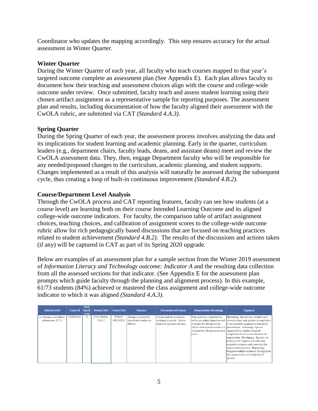Coordinator who updates the mapping accordingly. This step ensures accuracy for the actual assessment in Winter Quarter.

# <span id="page-7-0"></span>**Winter Quarter**

During the Winter Quarter of each year, all faculty who teach courses mapped to that year's targeted outcome complete an assessment plan (See Appendix E). Each plan allows faculty to document how their teaching and assessment choices align with the course and college-wide outcome under review. Once submitted, faculty teach and assess student learning using their chosen artifact assignment as a representative sample for reporting purposes. The assessment plan and results, including documentation of how the faculty aligned their assessment with the CwOLA rubric, are submitted via CAT *(Standard 4.A.3)*.

# <span id="page-7-1"></span>**Spring Quarter**

During the Spring Quarter of each year, the assessment process involves analyzing the data and its implications for student learning and academic planning. Early in the quarter, curriculum leaders (e.g., department chairs, faculty leads, deans, and assistant deans) meet and review the CwOLA assessment data. They, then, engage Department faculty who will be responsible for any needed/proposed changes to the curriculum, academic planning, and student supports. Changes implemented as a result of this analysis will naturally be assessed during the subsequent cycle, thus creating a loop of built-in continuous improvement *(Standard 4.B.2).*

# <span id="page-7-2"></span>**Course/Department Level Analysis**

Through the CwOLA process and CAT reporting features, faculty can see how students (at a course level) are learning both on their course Intended Learning Outcome and its aligned college-wide outcome indicators. For faculty, the comparison table of artifact assignment choices, teaching choices, and calibration of assignment scores to the college-wide outcome rubric allow for rich pedagogically based discussions that are focused on teaching practices related to student achievement *(Standard 4.B.2).* The results of the discussions and actions taken (if any) will be captured in CAT as part of its Spring 2020 upgrade.

Below are examples of an assessment plan for a sample section from the Winter 2019 assessment of *Information Literacy and Technology outcome: Indicator A* and the resulting data collection from all the assessed sections for that indicator. (See Appendix E for the assessment plan prompts which guide faculty through the planning and alignment process). In this example, 61/73 students (84%) achieved or mastered the class assignment and college-wide outcome indicator to which it was aligned *(Standard 4.A.3).*

| <b>Indicator Label</b>                         | <b>Course Id</b>    | <b>SMS</b><br>Enroll<br>ment | <b>Section Label</b>         | <b>Course Title</b>              | <b>Outcome</b>                                             | <b>Presentation of Content</b>                                                           | <b>Demonstration of Learning</b>                                                                                                          | Alignment                                                                                                                                                                                                                                                                                                                                                                                                                                                                                                                              |
|------------------------------------------------|---------------------|------------------------------|------------------------------|----------------------------------|------------------------------------------------------------|------------------------------------------------------------------------------------------|-------------------------------------------------------------------------------------------------------------------------------------------|----------------------------------------------------------------------------------------------------------------------------------------------------------------------------------------------------------------------------------------------------------------------------------------------------------------------------------------------------------------------------------------------------------------------------------------------------------------------------------------------------------------------------------------|
| A. Manages and utilizes<br>information. (ILT1) | <b>CMST&amp;220</b> | 21                           | [7312] 0930A<br><b>DAILY</b> | <b>PUBLIC</b><br><b>SPEAKING</b> | Design a successful<br>speech from outline to<br>delivery. | Lecture and discussion on<br>outlining a speech. Deliver<br>their own speeches in class. | Prep questions completed as<br>evaluated by the instructor.<br>evaluated by the instructor and  organized, but student required<br>peers. | Mastering - Speech has complete and<br>well as an outline turned in and correct outline and speaker accomplishes<br>every required organization element of<br>Deliver their speech and have it presentation. Achieving - Speech<br>completion of one or two elements of<br>organization. Developing - Speech was<br>lacking a few required elements and<br>required assistance and correction for<br>organizational pattern. Beginning -<br>Required multiple instances of support in<br>the organization and completion of<br>speech. |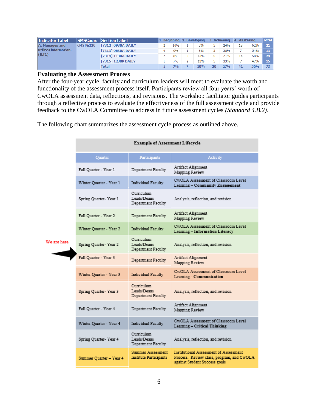| Indicator Label                                   |                     | <b>SMSCours Section Label</b> |   |       | 1. Beginning 2. Developing | 3. Achieving |     | 4. Mastering |     | <b>Total</b> |
|---------------------------------------------------|---------------------|-------------------------------|---|-------|----------------------------|--------------|-----|--------------|-----|--------------|
| A. Manages and<br>utilizes information.<br>(III1) | <b>CMST&amp;220</b> | [7312] 0930A DAILY            |   | 10%   | 5%                         |              | 24% | 13           | 62% | $-21$        |
|                                                   |                     | [7313] 0830A DAILY            | 0 | 0%    | 8%                         |              | 38% |              | 54% | 13           |
|                                                   |                     | [7314] 1130A DAILY            |   | 8%    | 13%                        |              | 21% | 14           | 58% | 24           |
|                                                   |                     | [7315] 1230P DAILY            |   | 7%    | 13%                        |              | 33% |              | 47% | 157          |
|                                                   |                     | Total                         |   | $7\%$ | 10%                        | 20           | 27% | 41           | 56% | 73           |

# <span id="page-8-0"></span>**Evaluating the Assessment Process**

After the four-year cycle, faculty and curriculum leaders will meet to evaluate the worth and functionality of the assessment process itself. Participants review all four years' worth of CwOLA assessment data, reflections, and revisions. The workshop facilitator guides participants through a reflective process to evaluate the effectiveness of the full assessment cycle and provide feedback to the CwOLA Committee to address in future assessment cycles *(Standard 4.B.2).*

The following chart summarizes the assessment cycle process as outlined above.

|             | <b>Example of Assessment Lifecycle</b> |                                                           |                                                                                                                             |  |  |  |  |  |  |  |
|-------------|----------------------------------------|-----------------------------------------------------------|-----------------------------------------------------------------------------------------------------------------------------|--|--|--|--|--|--|--|
|             | <b>Ouarter</b>                         | Participants                                              | Activity                                                                                                                    |  |  |  |  |  |  |  |
|             | Fall Quarter - Year 1                  | Department Faculty                                        | Artifact Alignment<br>Mapping Review                                                                                        |  |  |  |  |  |  |  |
|             | Winter Quarter - Year 1                | Individual Faculty                                        | CWOLA Assessment of Classroom Level<br>Learning - Community Engagement                                                      |  |  |  |  |  |  |  |
|             | Spring Quarter-Year 1                  | Curriculum<br>Leads/Deans<br>Department Faculty           | Analysis, reflection, and revision                                                                                          |  |  |  |  |  |  |  |
|             | Fall Quarter - Year 2                  | Department Faculty                                        | Artifact Alignment<br>Mapping Review                                                                                        |  |  |  |  |  |  |  |
|             | Winter Quarter - Year 2                | <b>Individual Faculty</b>                                 | CwOLA Assessment of Classroom Level<br>Learning - Information Literacy                                                      |  |  |  |  |  |  |  |
| We are here | Spring Quarter-Year 2                  | Curriculum<br>Leads/Deans<br>Department Faculty           | Analysis, reflection, and revision                                                                                          |  |  |  |  |  |  |  |
|             | Fall Quarter - Year 3                  | Department Faculty                                        | Artifact Alignment<br>Mapping Review                                                                                        |  |  |  |  |  |  |  |
|             | Winter Quarter - Year 3                | Individual Faculty                                        | CWOLA Assessment of Classroom Level<br>Learning - Communication                                                             |  |  |  |  |  |  |  |
|             | Spring Quarter-Year 3                  | Curriculum<br>Leads/Deans<br>Department Faculty           | Analysis, reflection, and revision                                                                                          |  |  |  |  |  |  |  |
|             | Fall Quarter - Year 4                  | Department Faculty                                        | Artifact Alignment<br>Mapping Review                                                                                        |  |  |  |  |  |  |  |
|             | Winter Quarter - Year 4                | Individual Faculty                                        | CwOLA Assessment of Classroom Level<br>Learning - Critical Thinking                                                         |  |  |  |  |  |  |  |
|             | Spring Quarter-Year 4                  | Curriculum<br>Leads/Deans<br>Department Faculty           | Analysis, reflection, and revision                                                                                          |  |  |  |  |  |  |  |
|             | Summer Quarter - Year 4                | <b>Summer Assessment</b><br><b>Institute Participants</b> | <b>Institutional Assessment of Assessment</b><br>Process. Review class, program, and CwOLA<br>against Student Success goals |  |  |  |  |  |  |  |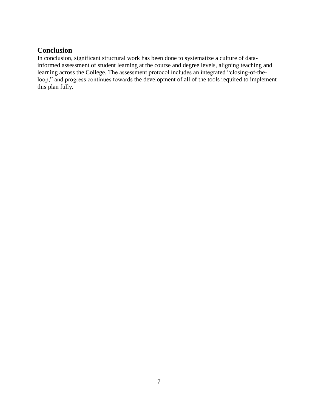# <span id="page-9-0"></span>**Conclusion**

In conclusion, significant structural work has been done to systematize a culture of datainformed assessment of student learning at the course and degree levels, aligning teaching and learning across the College. The assessment protocol includes an integrated "closing-of-theloop," and progress continues towards the development of all of the tools required to implement this plan fully.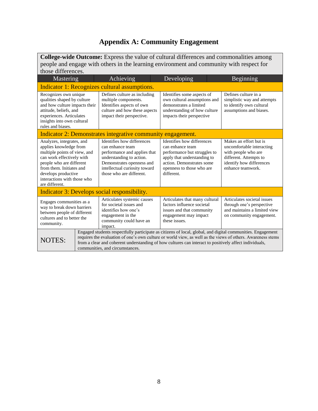# **Appendix A: Community Engagement**

<span id="page-10-0"></span>

| <b>College-wide Outcome:</b> Express the value of cultural differences and commonalities among<br>people and engage with others in the learning environment and community with respect for                                                                                       |                                                                                                                                                                                                                                                                                                                                                                         |                                                                                                                                                                                                      |                                                                                                                                                                                       |  |                                                                                                                                                       |  |  |  |
|----------------------------------------------------------------------------------------------------------------------------------------------------------------------------------------------------------------------------------------------------------------------------------|-------------------------------------------------------------------------------------------------------------------------------------------------------------------------------------------------------------------------------------------------------------------------------------------------------------------------------------------------------------------------|------------------------------------------------------------------------------------------------------------------------------------------------------------------------------------------------------|---------------------------------------------------------------------------------------------------------------------------------------------------------------------------------------|--|-------------------------------------------------------------------------------------------------------------------------------------------------------|--|--|--|
| those differences.<br>Mastering                                                                                                                                                                                                                                                  |                                                                                                                                                                                                                                                                                                                                                                         | Achieving                                                                                                                                                                                            | Developing                                                                                                                                                                            |  | Beginning                                                                                                                                             |  |  |  |
|                                                                                                                                                                                                                                                                                  |                                                                                                                                                                                                                                                                                                                                                                         | Indicator 1: Recognizes cultural assumptions.                                                                                                                                                        |                                                                                                                                                                                       |  |                                                                                                                                                       |  |  |  |
| Recognizes own unique<br>qualities shaped by culture<br>multiple components.<br>and how culture impacts their<br>Identifies aspects of own<br>attitude, beliefs, and<br>impact their perspective.<br>experiences. Articulates<br>insights into own cultural<br>rules and biases. |                                                                                                                                                                                                                                                                                                                                                                         | Defines culture as including<br>culture and how these aspects                                                                                                                                        | Identifies some aspects of<br>own cultural assumptions and<br>demonstrates a limited<br>understanding of how culture<br>impacts their perspective                                     |  | Defines culture in a<br>simplistic way and attempts<br>to identify own cultural<br>assumptions and biases.                                            |  |  |  |
|                                                                                                                                                                                                                                                                                  |                                                                                                                                                                                                                                                                                                                                                                         | Indicator 2: Demonstrates integrative community engagement.                                                                                                                                          |                                                                                                                                                                                       |  |                                                                                                                                                       |  |  |  |
| Analyzes, integrates, and<br>applies knowledge from<br>multiple points of view, and<br>can work effectively with<br>people who are different<br>from them. Initiates and<br>develops productive<br>interactions with those who<br>are different.                                 |                                                                                                                                                                                                                                                                                                                                                                         | Identifies how differences<br>can enhance team<br>performance and applies that<br>understanding to action.<br>Demonstrates openness and<br>intellectual curiosity toward<br>those who are different. | Identifies how differences<br>can enhance team<br>performance but struggles to<br>apply that understanding to<br>action. Demonstrates some<br>openness to those who are<br>different. |  | Makes an effort but is<br>uncomfortable interacting<br>with people who are<br>different. Attempts to<br>identify how differences<br>enhance teamwork. |  |  |  |
|                                                                                                                                                                                                                                                                                  |                                                                                                                                                                                                                                                                                                                                                                         | Indicator 3: Develops social responsibility.                                                                                                                                                         |                                                                                                                                                                                       |  |                                                                                                                                                       |  |  |  |
| Engages communities as a<br>way to break down barriers<br>between people of different<br>cultures and to better the<br>community.                                                                                                                                                |                                                                                                                                                                                                                                                                                                                                                                         | Articulates systemic causes<br>for societal issues and<br>identifies how one's<br>engagement in the<br>community could have an<br>impact.                                                            | Articulates that many cultural<br>factors influence societal<br>issues and that community<br>engagement may impact<br>these issues.                                                   |  | Articulates societal issues<br>through one's perspective<br>and maintains a limited view<br>on community engagement.                                  |  |  |  |
| <b>NOTES:</b>                                                                                                                                                                                                                                                                    | Engaged students respectfully participate as citizens of local, global, and digital communities. Engagement<br>requires the evaluation of one's own culture or world view, as well as the views of others. Awareness stems<br>from a clear and coherent understanding of how cultures can interact to positively affect individuals,<br>communities, and circumstances. |                                                                                                                                                                                                      |                                                                                                                                                                                       |  |                                                                                                                                                       |  |  |  |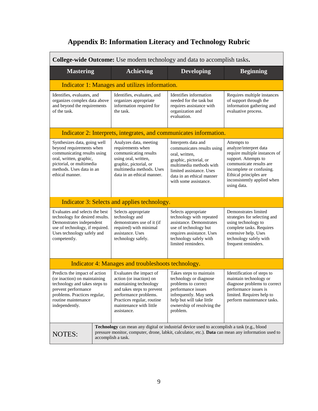# **Appendix B: Information Literacy and Technology Rubric**

<span id="page-11-0"></span>

| College-wide Outcome: Use modern technology and data to accomplish tasks.                                                                                                                                                                        |                                                                                                                                                                                                                  |                                                                                                                                                                                                            |                                                                                                                                                                                                                               |  |  |  |  |  |
|--------------------------------------------------------------------------------------------------------------------------------------------------------------------------------------------------------------------------------------------------|------------------------------------------------------------------------------------------------------------------------------------------------------------------------------------------------------------------|------------------------------------------------------------------------------------------------------------------------------------------------------------------------------------------------------------|-------------------------------------------------------------------------------------------------------------------------------------------------------------------------------------------------------------------------------|--|--|--|--|--|
| <b>Mastering</b>                                                                                                                                                                                                                                 | <b>Achieving</b>                                                                                                                                                                                                 | <b>Developing</b>                                                                                                                                                                                          | <b>Beginning</b>                                                                                                                                                                                                              |  |  |  |  |  |
| Indicator 1: Manages and utilizes information.                                                                                                                                                                                                   |                                                                                                                                                                                                                  |                                                                                                                                                                                                            |                                                                                                                                                                                                                               |  |  |  |  |  |
| Identifies, evaluates, and<br>organizes complex data above<br>and beyond the requirements<br>of the task.                                                                                                                                        | Identifies, evaluates, and<br>Identifies information<br>organizes appropriate<br>needed for the task but<br>information required for<br>requires assistance with<br>the task.<br>organization and<br>evaluation. |                                                                                                                                                                                                            | Requires multiple instances<br>of support through the<br>information gathering and<br>evaluative process.                                                                                                                     |  |  |  |  |  |
|                                                                                                                                                                                                                                                  | Indicator 2: Interprets, integrates, and communicates information.                                                                                                                                               |                                                                                                                                                                                                            |                                                                                                                                                                                                                               |  |  |  |  |  |
| Synthesizes data, going well<br>beyond requirements when<br>communicating results using<br>oral, written, graphic,<br>pictorial, or multimedia<br>methods. Uses data in an<br>ethical manner.                                                    | Analyzes data, meeting<br>requirements when<br>communicating results<br>using oral, written,<br>graphic, pictorial, or<br>multimedia methods. Uses<br>data in an ethical manner.                                 | Interprets data and<br>communicates results using<br>oral, written,<br>graphic, pictorial, or<br>multimedia methods with<br>limited assistance. Uses<br>data in an ethical manner<br>with some assistance. | Attempts to<br>analyze/interpret data<br>require multiple instances of<br>support. Attempts to<br>communicate results are<br>incomplete or confusing.<br>Ethical principles are<br>inconsistently applied when<br>using data. |  |  |  |  |  |
|                                                                                                                                                                                                                                                  | Indicator 3: Selects and applies technology.                                                                                                                                                                     |                                                                                                                                                                                                            |                                                                                                                                                                                                                               |  |  |  |  |  |
| Evaluates and selects the best<br>technology for desired results.<br>Demonstrates independent<br>use of technology, if required.<br>Uses technology safely and<br>competently.                                                                   | Selects appropriate<br>technology and<br>demonstrates use of it (if<br>required) with minimal<br>assistance. Uses<br>technology safely.                                                                          | Selects appropriate<br>technology with repeated<br>assistance. Demonstrates<br>use of technology but<br>requires assistance. Uses<br>technology safely with<br>limited reminders.                          | Demonstrates limited<br>strategies for selecting and<br>using technology to<br>complete tasks. Requires<br>extensive help. Uses<br>technology safely with<br>frequent reminders.                                              |  |  |  |  |  |
|                                                                                                                                                                                                                                                  | Indicator 4: Manages and troubleshoots technology.                                                                                                                                                               |                                                                                                                                                                                                            |                                                                                                                                                                                                                               |  |  |  |  |  |
| Predicts the impact of action<br>(or inaction) on maintaining<br>technology and takes steps to<br>prevent performance<br>problems. Practices regular,<br>routine maintenance<br>independently.                                                   | Evaluates the impact of<br>action (or inaction) on<br>maintaining technology<br>and takes steps to prevent<br>performance problems.<br>Practices regular, routine<br>maintenance with little<br>assistance.      | Takes steps to maintain<br>technology or diagnose<br>problems to correct<br>performance issues<br>infrequently. May seek<br>help but will take little<br>ownership of resolving the<br>problem.            | Identification of steps to<br>maintain technology or<br>diagnose problems to correct<br>performance issues is<br>limited. Requires help to<br>perform maintenance tasks.                                                      |  |  |  |  |  |
| <b>Technology</b> can mean any digital or industrial device used to accomplish a task (e.g., blood<br>pressure monitor, computer, drone, labkit, calculator, etc.). <b>Data</b> can mean any information used to<br>NOTES:<br>accomplish a task. |                                                                                                                                                                                                                  |                                                                                                                                                                                                            |                                                                                                                                                                                                                               |  |  |  |  |  |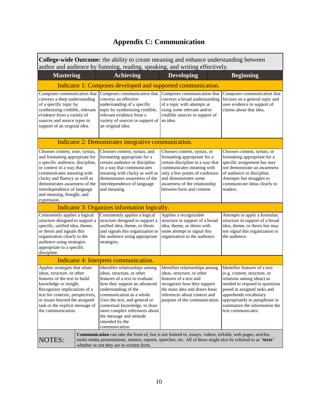# **Appendix C: Communication**

<span id="page-12-0"></span>

| <b>College-wide Outcome:</b> the ability to create meaning and enhance understanding between |
|----------------------------------------------------------------------------------------------|
| author and audience by listening, reading, speaking, and writing effectively.                |

| <b>Mastering</b>                                                                                                                                                                                                                                                                                            | <b>Achieving</b>                                                                                                                                                                                                                                                                                                                                        | <b>Developing</b>                                                                                                                                                                                                                                     | <b>Beginning</b>                                                                                                                                                                                                                                                              |  |  |  |  |  |
|-------------------------------------------------------------------------------------------------------------------------------------------------------------------------------------------------------------------------------------------------------------------------------------------------------------|---------------------------------------------------------------------------------------------------------------------------------------------------------------------------------------------------------------------------------------------------------------------------------------------------------------------------------------------------------|-------------------------------------------------------------------------------------------------------------------------------------------------------------------------------------------------------------------------------------------------------|-------------------------------------------------------------------------------------------------------------------------------------------------------------------------------------------------------------------------------------------------------------------------------|--|--|--|--|--|
| Indicator 1: Composes developed and supported communication.                                                                                                                                                                                                                                                |                                                                                                                                                                                                                                                                                                                                                         |                                                                                                                                                                                                                                                       |                                                                                                                                                                                                                                                                               |  |  |  |  |  |
| Composes communication that<br>conveys a deep understanding<br>of a specific topic by<br>synthesizing credible, relevant<br>evidence from a variety of<br>sources and source types in<br>support of an original idea.                                                                                       | Composes communication that<br>conveys an effective<br>understanding of a specific<br>topic by synthesizing credible,<br>relevant evidence from a<br>variety of sources in support of<br>an original idea.                                                                                                                                              | Composes communication that<br>conveys a broad understanding<br>of a topic with attempts at<br>using some relevant and/or<br>credible sources in support of<br>an idea.                                                                               | Composes communication that<br>focuses on a general topic and<br>uses evidence in support of<br>claims about that idea.                                                                                                                                                       |  |  |  |  |  |
|                                                                                                                                                                                                                                                                                                             | Indicator 2: Demonstrates integrative communication.                                                                                                                                                                                                                                                                                                    |                                                                                                                                                                                                                                                       |                                                                                                                                                                                                                                                                               |  |  |  |  |  |
| Chooses content, tone, syntax,<br>and formatting appropriate for<br>a specific audience, discipline,<br>or context in a way that<br>communicates meaning with<br>clarity and fluency as well as<br>demonstrates awareness of the<br>interdependence of language<br>and meaning, thought, and<br>expression. | Chooses content, syntax, and<br>formatting appropriate for a<br>certain audience or discipline<br>in a way that communicates<br>meaning with clarity as well as<br>demonstrates awareness of the<br>interdependence of language<br>and meaning.                                                                                                         | Chooses content, syntax, or<br>formatting appropriate for a<br>certain discipline in a way that<br>communicates meaning with<br>only a few points of confusion<br>and demonstrates some<br>awareness of the relationship<br>between form and content. | Chooses content, syntax, or<br>formatting appropriate for a<br>specific assignment but may<br>not demonstrate an awareness<br>of audience or discipline.<br>Attempts but struggles to<br>communicate ideas clearly to<br>readers.                                             |  |  |  |  |  |
|                                                                                                                                                                                                                                                                                                             | Indicator 3: Organizes information logically.                                                                                                                                                                                                                                                                                                           |                                                                                                                                                                                                                                                       |                                                                                                                                                                                                                                                                               |  |  |  |  |  |
| Consistently applies a logical<br>structure designed to support a<br>specific, unified idea, theme,<br>or thesis and signals this<br>organization clearly to the<br>audience using strategies<br>appropriate to a specific<br>discipline.                                                                   | Consistently applies a logical<br>structure designed to support a<br>unified idea, theme, or thesis<br>and signals this organization to<br>the audience using appropriate<br>strategies.                                                                                                                                                                | Applies a recognizable<br>structure in support of a broad<br>idea, theme, or thesis with<br>some attempt to signal this<br>organization to the audience.                                                                                              | Attempts to apply a formulaic<br>structure in support of a broad<br>idea, theme, or thesis but may<br>not signal this organization to<br>the audience.                                                                                                                        |  |  |  |  |  |
|                                                                                                                                                                                                                                                                                                             | Indicator 4: Interprets communication.                                                                                                                                                                                                                                                                                                                  |                                                                                                                                                                                                                                                       |                                                                                                                                                                                                                                                                               |  |  |  |  |  |
| Applies strategies that relate<br>ideas, structure, or other<br>features of the text to build<br>knowledge or insight.<br>Recognizes implications of a<br>text for contexts, perspectives,<br>or issues beyond the assigned<br>task or the explicit message of<br>the communication.                        | Identifies relationships among<br>ideas, structure, or other<br>features of a text to evaluate<br>how they support an advanced<br>understanding of the<br>communication as a whole.<br>Uses the text, and general or<br>contextual knowledge, to draw<br>more complex inferences about<br>the message and attitude<br>intended by the<br>communication. | Identifies relationships among<br>ideas, structure, or other<br>features of a text and<br>recognizes how they support<br>the main idea and draws basic<br>inferences about context and<br>purpose of the communication.                               | Identifies features of a text<br>(e.g. content, structure, or<br>relations among ideas) as<br>needed to respond to questions<br>posed in assigned tasks and<br>apprehends vocabulary<br>appropriately to paraphrase or<br>summarize the information the<br>text communicates. |  |  |  |  |  |
| <b>Communication</b> can take the form of, but is not limited to, essays, videos, trifolds, web pages, articles,<br><b>NOTES:</b><br>multi-media presentations, memos, reports, speeches, etc. All of these might also be referred to as "texts"<br>whether or not they are in written form.                |                                                                                                                                                                                                                                                                                                                                                         |                                                                                                                                                                                                                                                       |                                                                                                                                                                                                                                                                               |  |  |  |  |  |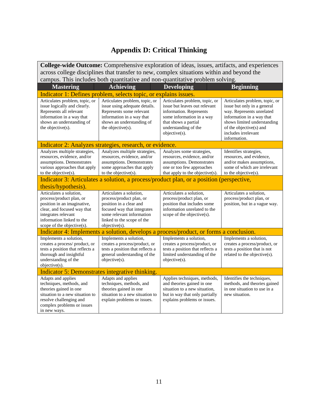# **Appendix D: Critical Thinking**

<span id="page-13-0"></span>

| College-wide Outcome: Comprehensive exploration of ideas, issues, artifacts, and experiences                                                                                                            |                                                                                                                                                                                           |                                                                                                                                                                                          |                                                                                                                                                                                                                          |  |  |  |  |  |
|---------------------------------------------------------------------------------------------------------------------------------------------------------------------------------------------------------|-------------------------------------------------------------------------------------------------------------------------------------------------------------------------------------------|------------------------------------------------------------------------------------------------------------------------------------------------------------------------------------------|--------------------------------------------------------------------------------------------------------------------------------------------------------------------------------------------------------------------------|--|--|--|--|--|
|                                                                                                                                                                                                         | across college disciplines that transfer to new, complex situations within and beyond the                                                                                                 |                                                                                                                                                                                          |                                                                                                                                                                                                                          |  |  |  |  |  |
| campus. This includes both quantitative and non-quantitative problem solving.                                                                                                                           |                                                                                                                                                                                           |                                                                                                                                                                                          |                                                                                                                                                                                                                          |  |  |  |  |  |
| <b>Mastering</b>                                                                                                                                                                                        | <b>Achieving</b>                                                                                                                                                                          | <b>Developing</b>                                                                                                                                                                        | <b>Beginning</b>                                                                                                                                                                                                         |  |  |  |  |  |
| Indicator 1: Defines problem, selects topic, or explains issues.                                                                                                                                        |                                                                                                                                                                                           |                                                                                                                                                                                          |                                                                                                                                                                                                                          |  |  |  |  |  |
| Articulates problem, topic, or<br>issue logically and clearly.<br>Represents all relevant<br>information in a way that<br>shows an understanding of<br>the objective(s).                                | Articulates problem, topic, or<br>issue using adequate details.<br>Represents some relevant<br>information in a way that<br>shows an understanding of<br>the objective(s).                | Articulates problem, topic, or<br>issue but leaves out relevant<br>information. Represents<br>some information in a way<br>that shows a partial<br>understanding of the<br>objective(s). | Articulates problem, topic, or<br>issue but only in a general<br>way. Represents unrelated<br>information in a way that<br>shows limited understanding<br>of the objective(s) and<br>includes irrelevant<br>information. |  |  |  |  |  |
|                                                                                                                                                                                                         | Indicator 2: Analyzes strategies, research, or evidence.                                                                                                                                  |                                                                                                                                                                                          |                                                                                                                                                                                                                          |  |  |  |  |  |
| Analyzes multiple strategies,<br>resources, evidence, and/or<br>assumptions. Demonstrates<br>various approaches that apply<br>to the objective(s).                                                      | Analyzes multiple strategies,<br>resources, evidence, and/or<br>assumptions. Demonstrates<br>some approaches that apply<br>to the objective(s).                                           | Analyzes some strategies,<br>resources, evidence, and/or<br>assumptions. Demonstrates<br>one or too few approaches<br>that apply to the objective(s).                                    | Identifies strategies,<br>resources, and evidence,<br>and/or makes assumptions,<br>some of which are irrelevant<br>to the objective(s).                                                                                  |  |  |  |  |  |
|                                                                                                                                                                                                         | Indicator 3: Articulates a solution, a process/product plan, or a position (perspective,                                                                                                  |                                                                                                                                                                                          |                                                                                                                                                                                                                          |  |  |  |  |  |
| thesis/hypothesis).                                                                                                                                                                                     |                                                                                                                                                                                           |                                                                                                                                                                                          |                                                                                                                                                                                                                          |  |  |  |  |  |
| Articulates a solution,<br>process/product plan, or<br>position in an imaginative,<br>clear, and focused way that<br>integrates relevant<br>information linked to the<br>scope of the objective $(s)$ . | Articulates a solution,<br>process/product plan, or<br>position in a clear and<br>focused way that integrates<br>some relevant information<br>linked to the scope of the<br>objective(s). | Articulates a solution,<br>process/product plan, or<br>position that includes some<br>information unrelated to the<br>scope of the objective(s).                                         | Articulates a solution,<br>process/product plan, or<br>position, but in a vague way.                                                                                                                                     |  |  |  |  |  |
|                                                                                                                                                                                                         | Indicator 4: Implements a solution, develops a process/product, or forms a conclusion.                                                                                                    |                                                                                                                                                                                          |                                                                                                                                                                                                                          |  |  |  |  |  |
| Implements a solution,<br>creates a process/ product, or<br>tests a position that reflects a<br>thorough and insightful<br>understanding of the<br>objective(s).                                        | Implements a solution,<br>creates a process/product, or<br>tests a position that reflects a<br>general understanding of the<br>$objective(s)$ .                                           | Implements a solution,<br>creates a process/product, or<br>tests a position that reflects a<br>limited understanding of the<br>objective(s).                                             | Implements a solution,<br>creates a process/product, or<br>tests a position that is not<br>related to the objective(s).                                                                                                  |  |  |  |  |  |
|                                                                                                                                                                                                         | Indicator 5: Demonstrates integrative thinking.                                                                                                                                           |                                                                                                                                                                                          |                                                                                                                                                                                                                          |  |  |  |  |  |
| Adapts and applies<br>techniques, methods, and<br>theories gained in one<br>situation to a new situation to<br>resolve challenging and<br>complex problems or issues<br>in new ways.                    | Adapts and applies<br>techniques, methods, and<br>theories gained in one<br>situation to a new situation to<br>explain problems or issues.                                                | Applies techniques, methods,<br>and theories gained in one<br>situation to a new situation,<br>but in way that only partially<br>explains problems or issues.                            | Identifies the techniques,<br>methods, and theories gained<br>in one situation to use in a<br>new situation.                                                                                                             |  |  |  |  |  |